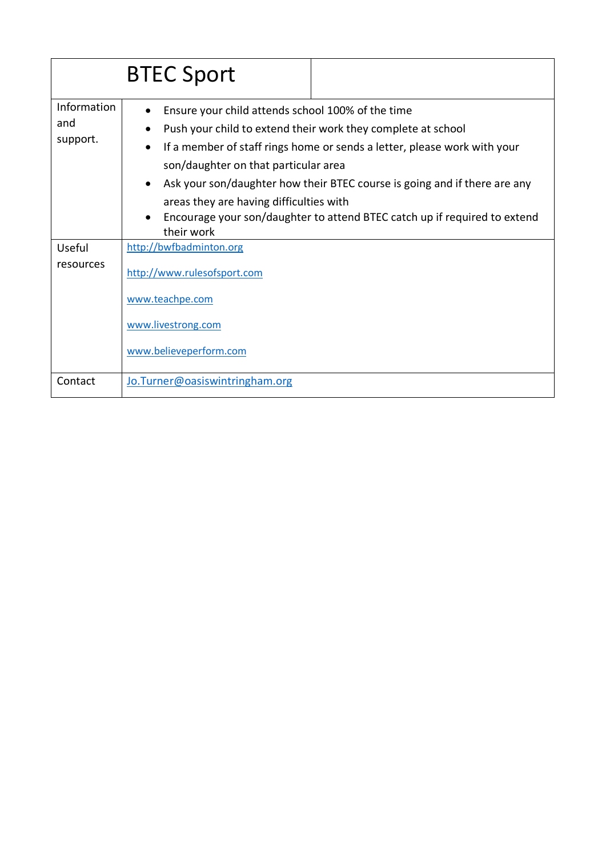|                                | <b>BTEC Sport</b>                                                                                                                                                                                                                                                                                                                                                                                                                                                                  |  |
|--------------------------------|------------------------------------------------------------------------------------------------------------------------------------------------------------------------------------------------------------------------------------------------------------------------------------------------------------------------------------------------------------------------------------------------------------------------------------------------------------------------------------|--|
| Information<br>and<br>support. | Ensure your child attends school 100% of the time<br>Push your child to extend their work they complete at school<br>If a member of staff rings home or sends a letter, please work with your<br>$\bullet$<br>son/daughter on that particular area<br>Ask your son/daughter how their BTEC course is going and if there are any<br>$\bullet$<br>areas they are having difficulties with<br>Encourage your son/daughter to attend BTEC catch up if required to extend<br>their work |  |
| Useful<br>resources            | http://bwfbadminton.org<br>http://www.rulesofsport.com<br>www.teachpe.com<br>www.livestrong.com<br>www.believeperform.com                                                                                                                                                                                                                                                                                                                                                          |  |
| Contact                        | Jo. Turner@oasiswintringham.org                                                                                                                                                                                                                                                                                                                                                                                                                                                    |  |